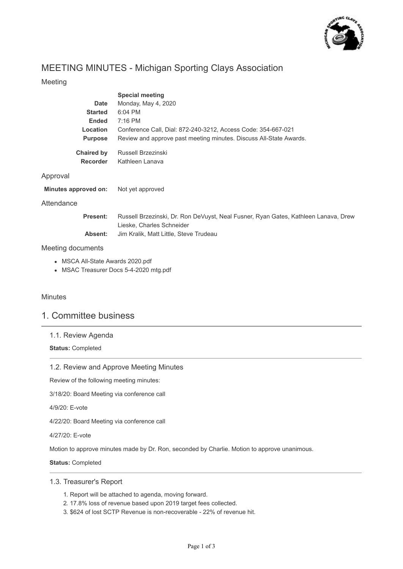

# MEETING MINUTES - Michigan Sporting Clays Association

# Meeting

|                                      | <b>Special meeting</b>                                             |
|--------------------------------------|--------------------------------------------------------------------|
| Date                                 | Monday, May 4, 2020                                                |
| <b>Started</b>                       | $6:04$ PM                                                          |
| <b>Ended</b>                         | $7:16$ PM                                                          |
| Location                             | Conference Call, Dial: 872-240-3212, Access Code: 354-667-021      |
| <b>Purpose</b>                       | Review and approve past meeting minutes. Discuss All-State Awards. |
| <b>Chaired by</b><br><b>Recorder</b> | Russell Brzezinski<br>Kathleen Lanava                              |

| Minutes approved on: | Not yet approved |
|----------------------|------------------|

## **Attendance**

Approval

| <b>Present:</b> | Russell Brzezinski, Dr. Ron DeVuyst, Neal Fusner, Ryan Gates, Kathleen Lanava, Drew |
|-----------------|-------------------------------------------------------------------------------------|
|                 | Lieske, Charles Schneider                                                           |
| Absent:         | Jim Kralik. Matt Little. Steve Trudeau                                              |

#### Meeting documents

- MSCA All-State Awards 2020.pdf
- MSAC Treasurer Docs 5-4-2020 mtg.pdf

## **Minutes**

# 1. Committee business

## 1.1. Review Agenda

**Status:** Completed

## 1.2. Review and Approve Meeting Minutes

Review of the following meeting minutes:

3/18/20: Board Meeting via conference call

4/9/20: E-vote

4/22/20: Board Meeting via conference call

4/27/20: E-vote

Motion to approve minutes made by Dr. Ron, seconded by Charlie. Motion to approve unanimous.

**Status:** Completed

#### 1.3. Treasurer's Report

- 1. Report will be attached to agenda, moving forward.
- 2. 17.8% loss of revenue based upon 2019 target fees collected.
- 3. \$624 of lost SCTP Revenue is non-recoverable 22% of revenue hit.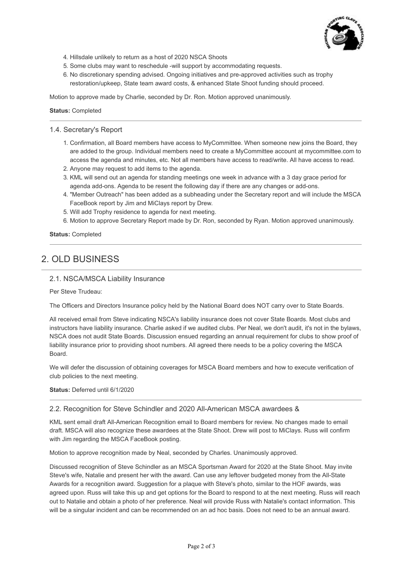

- 4. Hillsdale unlikely to return as a host of 2020 NSCA Shoots
- 5. Some clubs may want to reschedule -will support by accommodating requests.
- 6. No discretionary spending advised. Ongoing initiatives and pre-approved activities such as trophy restoration/upkeep, State team award costs, & enhanced State Shoot funding should proceed.

Motion to approve made by Charlie, seconded by Dr. Ron. Motion approved unanimously.

**Status:** Completed

#### 1.4. Secretary's Report

- 1. Confirmation, all Board members have access to MyCommittee. When someone new joins the Board, they are added to the group. Individual members need to create a MyCommittee account at mycommittee.com to access the agenda and minutes, etc. Not all members have access to read/write. All have access to read.
- 2. Anyone may request to add items to the agenda.
- 3. KML will send out an agenda for standing meetings one week in advance with a 3 day grace period for agenda add-ons. Agenda to be resent the following day if there are any changes or add-ons.
- 4. "Member Outreach" has been added as a subheading under the Secretary report and will include the MSCA FaceBook report by Jim and MiClays report by Drew.
- 5. Will add Trophy residence to agenda for next meeting.
- 6. Motion to approve Secretary Report made by Dr. Ron, seconded by Ryan. Motion approved unanimously.

**Status:** Completed

# 2. OLD BUSINESS

#### 2.1. NSCA/MSCA Liability Insurance

Per Steve Trudeau:

The Officers and Directors Insurance policy held by the National Board does NOT carry over to State Boards.

All received email from Steve indicating NSCA's liability insurance does not cover State Boards. Most clubs and instructors have liability insurance. Charlie asked if we audited clubs. Per Neal, we don't audit, it's not in the bylaws, NSCA does not audit State Boards. Discussion ensued regarding an annual requirement for clubs to show proof of liability insurance prior to providing shoot numbers. All agreed there needs to be a policy covering the MSCA Board.

We will defer the discussion of obtaining coverages for MSCA Board members and how to execute verification of club policies to the next meeting.

**Status:** Deferred until 6/1/2020

#### 2.2. Recognition for Steve Schindler and 2020 All-American MSCA awardees &

KML sent email draft All-American Recognition email to Board members for review. No changes made to email draft. MSCA will also recognize these awardees at the State Shoot. Drew will post to MiClays. Russ will confirm with Jim regarding the MSCA FaceBook posting.

Motion to approve recognition made by Neal, seconded by Charles. Unanimously approved.

Discussed recognition of Steve Schindler as an MSCA Sportsman Award for 2020 at the State Shoot. May invite Steve's wife, Natalie and present her with the award. Can use any leftover budgeted money from the All-State Awards for a recognition award. Suggestion for a plaque with Steve's photo, similar to the HOF awards, was agreed upon. Russ will take this up and get options for the Board to respond to at the next meeting. Russ will reach out to Natalie and obtain a photo of her preference. Neal will provide Russ with Natalie's contact information. This will be a singular incident and can be recommended on an ad hoc basis. Does not need to be an annual award.